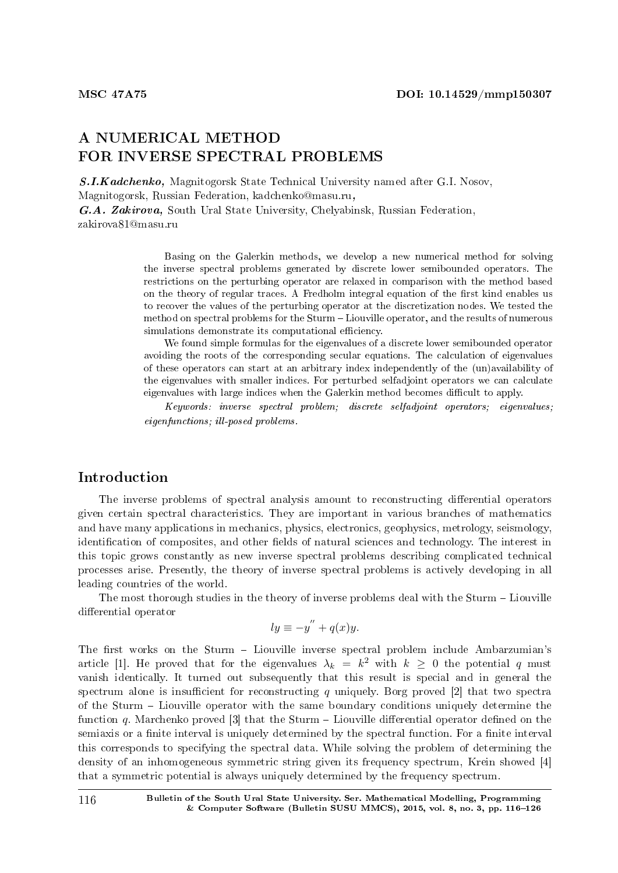# A NUMERICAL METHOD FOR INVERSE SPECTRAL PROBLEMS

S.I.Kadchenko, Magnitogorsk State Technical University named after G.I. Nosov, Magnitogorsk, Russian Federation, kadchenko@masu.ru, G.A. Zakirova, South Ural State University, Chelyabinsk, Russian Federation, zakirova81@masu.ru

Basing on the Galerkin methods, we develop a new numerical method for solving the inverse spectral problems generated by discrete lower semibounded operators. The restrictions on the perturbing operator are relaxed in comparison with the method based on the theory of regular traces. A Fredholm integral equation of the first kind enables us to recover the values of the perturbing operator at the discretization nodes. We tested the method on spectral problems for the Sturm Liouville operator, and the results of numerous simulations demonstrate its computational efficiency.

We found simple formulas for the eigenvalues of a discrete lower semibounded operator avoiding the roots of the corresponding secular equations. The calculation of eigenvalues of these operators can start at an arbitrary index independently of the (un)availability of the eigenvalues with smaller indices. For perturbed selfadjoint operators we can calculate eigenvalues with large indices when the Galerkin method becomes difficult to apply.

Keywords: inverse spectral problem; discrete selfadjoint operators; eigenvalues; eigenfunctions; ill-posed problems.

### Introduction

The inverse problems of spectral analysis amount to reconstructing differential operators given certain spectral characteristics. They are important in various branches of mathematics and have many applications in mechanics, physics, electronics, geophysics, metrology, seismology, identification of composites, and other fields of natural sciences and technology. The interest in this topic grows constantly as new inverse spectral problems describing complicated technical processes arise. Presently, the theory of inverse spectral problems is actively developing in all leading countries of the world.

The most thorough studies in the theory of inverse problems deal with the Sturm - Liouville differential operator

$$
ly \equiv -y'' + q(x)y.
$$

The first works on the Sturm - Liouville inverse spectral problem include Ambarzumian's article [1]. He proved that for the eigenvalues  $\lambda_k = k^2$  with  $k \geq 0$  the potential *q* must vanish identically. It turned out subsequently that this result is special and in general the spectrum alone is insufficient for reconstructing q uniquely. Borg proved [2] that two spectra of the Sturm Liouville operator with the same boundary conditions uniquely determine the function  $q$ . Marchenko proved [3] that the Sturm  $-$  Liouville differential operator defined on the semiaxis or a finite interval is uniquely determined by the spectral function. For a finite interval this corresponds to specifying the spectral data. While solving the problem of determining the density of an inhomogeneous symmetric string given its frequency spectrum, Krein showed [4] that a symmetric potential is always uniquely determined by the frequency spectrum.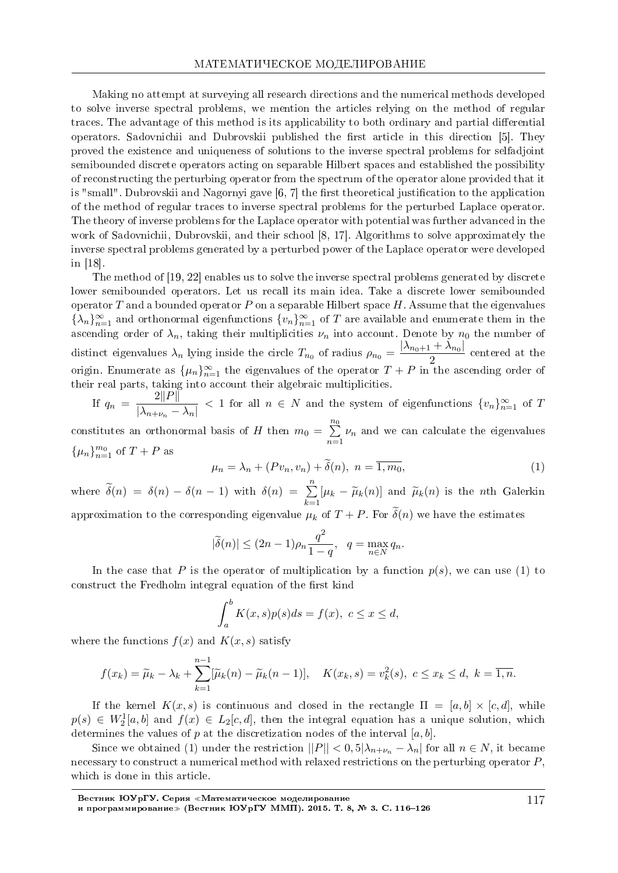Making no attempt at surveying all research directions and the numerical methods developed to solve inverse spectral problems, we mention the articles relying on the method of regular traces. The advantage of this method is its applicability to both ordinary and partial differential operators. Sadovnichii and Dubrovskii published the first article in this direction [5]. They proved the existence and uniqueness of solutions to the inverse spectral problems for selfadjoint semibounded discrete operators acting on separable Hilbert spaces and established the possibility of reconstructing the perturbing operator from the spectrum of the operator alone provided that it is "small". Dubrovskii and Nagornyi gave  $[6, 7]$  the first theoretical justification to the application of the method of regular traces to inverse spectral problems for the perturbed Laplace operator. The theory of inverse problems for the Laplace operator with potential was further advanced in the work of Sadovnichii, Dubrovskii, and their school [8, 17]. Algorithms to solve approximately the inverse spectral problems generated by a perturbed power of the Laplace operator were developed in [18].

The method of [19, 22] enables us to solve the inverse spectral problems generated by discrete lower semibounded operators. Let us recall its main idea. Take a discrete lower semibounded operator *T* and a bounded operator *P* on a separable Hilbert space *H*. Assume that the eigenvalues  $\{\lambda_n\}_{n=1}^{\infty}$  and orthonormal eigenfunctions  $\{v_n\}_{n=1}^{\infty}$  of *T* are available and enumerate them in the ascending order of  $\lambda_n$ , taking their multiplicities  $\nu_n$  into account. Denote by  $n_0$  the number of distinct eigenvalues  $\lambda_n$  lying inside the circle  $T_{n_0}$  of radius  $\rho_{n_0} = \frac{|\lambda_{n_0+1} + \lambda_{n_0}|}{2}$  $\frac{1}{2}$  centered at the origin. Enumerate as  $\{\mu_n\}_{n=1}^{\infty}$  the eigenvalues of the operator  $T+P$  in the ascending order of their real parts, taking into account their algebraic multiplicities.

If  $q_n = \frac{2||P||}{\sqrt{2||P||}}$  $\frac{2\|A\|}{\|A_{n+\nu_n}-A_n\|}$  < 1 for all  $n \in N$  and the system of eigenfunctions  $\{v_n\}_{n=1}^{\infty}$  of *T* constitutes an orthonormal basis of *H* then  $m_0 = \sum_{n=1}^{n_0}$ *n*=1 *ν<sup>n</sup>* and we can calculate the eigenvalues  $\{\mu_n\}_{n=1}^{m_0}$  of  $T + P$  as

$$
\mu_n = \lambda_n + (Pv_n, v_n) + \tilde{\delta}(n), \quad n = \overline{1, m_0}, \tag{1}
$$

where  $\tilde{\delta}(n) = \delta(n) - \delta(n-1)$  with  $\delta(n) = \sum_{k=1}^{n} [\mu_k - \tilde{\mu}_k(n)]$  and  $\tilde{\mu}_k(n)$  is the *n*th Galerkin approximation to the corresponding eigenvalue  $\mu_k$  of  $T + P$ . For  $\tilde{\delta}(n)$  we have the estimates

$$
|\tilde{\delta}(n)| \le (2n-1)\rho_n \frac{q^2}{1-q}, \quad q = \max_{n \in \mathbb{N}} q_n.
$$

In the case that *P* is the operator of multiplication by a function  $p(s)$ , we can use (1) to construct the Fredholm integral equation of the first kind

$$
\int_a^b K(x,s)p(s)ds = f(x), \ c \le x \le d,
$$

where the functions  $f(x)$  and  $K(x, s)$  satisfy

$$
f(x_k) = \widetilde{\mu}_k - \lambda_k + \sum_{k=1}^{n-1} [\widetilde{\mu}_k(n) - \widetilde{\mu}_k(n-1)], \quad K(x_k, s) = v_k^2(s), \ c \le x_k \le d, \ k = \overline{1, n}.
$$

If the kernel  $K(x, s)$  is continuous and closed in the rectangle  $\Pi = [a, b] \times [c, d]$ , while  $p(s) \in W_2^1[a, b]$  and  $f(x) \in L_2[c, d]$ , then the integral equation has a unique solution, which determines the values of *p* at the discretization nodes of the interval [*a, b*].

Since we obtained (1) under the restriction  $||P|| < 0, 5|\lambda_{n+\nu_n} - \lambda_n|$  for all  $n \in N$ , it became necessary to construct a numerical method with relaxed restrictions on the perturbing operator *P*, which is done in this article.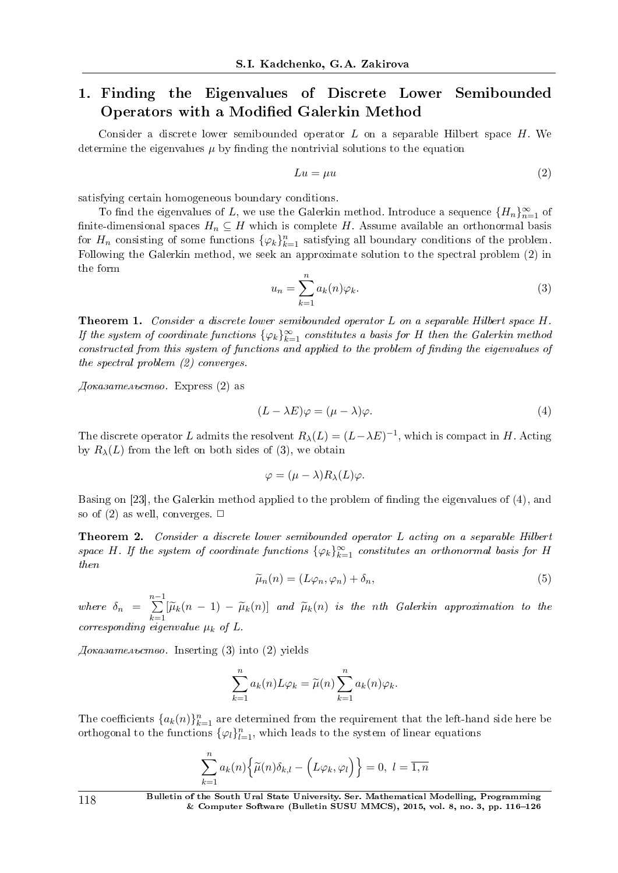## 1. Finding the Eigenvalues of Discrete Lower Semibounded Operators with a Modified Galerkin Method

Consider a discrete lower semibounded operator *L* on a separable Hilbert space *H*. We determine the eigenvalues  $\mu$  by finding the nontrivial solutions to the equation

$$
Lu = \mu u \tag{2}
$$

satisfying certain homogeneous boundary conditions.

To find the eigenvalues of *L*, we use the Galerkin method. Introduce a sequence  $\{H_n\}_{n=1}^{\infty}$  of finite-dimensional spaces  $H_n \subseteq H$  which is complete *H*. Assume available an orthonormal basis for  $H_n$  consisting of some functions  $\{\varphi_k\}_{k=1}^n$  satisfying all boundary conditions of the problem. Following the Galerkin method, we seek an approximate solution to the spectral problem (2) in the form

$$
u_n = \sum_{k=1}^n a_k(n)\varphi_k.
$$
 (3)

Theorem 1. Consider a discrete lower semibounded operator *L* on a separable Hilbert space *H*. If the system of coordinate functions  $\{\varphi_k\}_{k=1}^{\infty}$  constitutes a basis for *H* then the Galerkin method constructed from this system of functions and applied to the problem of finding the eigenvalues of the spectral problem (2) converges.

 $A\alpha$ kasamenbcmeo. Express (2) as

$$
(L - \lambda E)\varphi = (\mu - \lambda)\varphi.
$$
\n(4)

The discrete operator *L* admits the resolvent  $R_{\lambda}(L) = (L - \lambda E)^{-1}$ , which is compact in *H*. Acting by  $R_{\lambda}(L)$  from the left on both sides of (3), we obtain

$$
\varphi = (\mu - \lambda) R_{\lambda}(L) \varphi.
$$

Basing on [23], the Galerkin method applied to the problem of finding the eigenvalues of (4), and so of  $(2)$  as well, converges.  $\Box$ 

Theorem 2. Consider a discrete lower semibounded operator *L* acting on a separable Hilbert space *H*. If the system of coordinate functions  $\{\varphi_k\}_{k=1}^{\infty}$  constitutes an orthonormal basis for *H* then

$$
\widetilde{\mu}_n(n) = (L\varphi_n, \varphi_n) + \delta_n,\tag{5}
$$

where  $\delta_n = \sum_{n=1}^{n-1}$  $\sum_{k=1}^{\infty} [\widetilde{\mu}_k(n-1) - \widetilde{\mu}_k(n)]$  and  $\widetilde{\mu}_k(n)$  is the *n*th Galerkin approximation to the corresponding eigenvalue  $\mu_k$  of L.

 $\Delta\sigma$ казательство. Inserting (3) into (2) yields

$$
\sum_{k=1}^{n} a_k(n) L \varphi_k = \widetilde{\mu}(n) \sum_{k=1}^{n} a_k(n) \varphi_k.
$$

The coefficients  ${a_k(n)}_{k=1}^n$  are determined from the requirement that the left-hand side here be orthogonal to the functions  $\{\varphi_l\}_{l=1}^n$ , which leads to the system of linear equations

$$
\sum_{k=1}^{n} a_k(n) \Big\{ \widetilde{\mu}(n) \delta_{k,l} - \Big( L\varphi_k, \varphi_l \Big) \Big\} = 0, \ l = \overline{1, n}
$$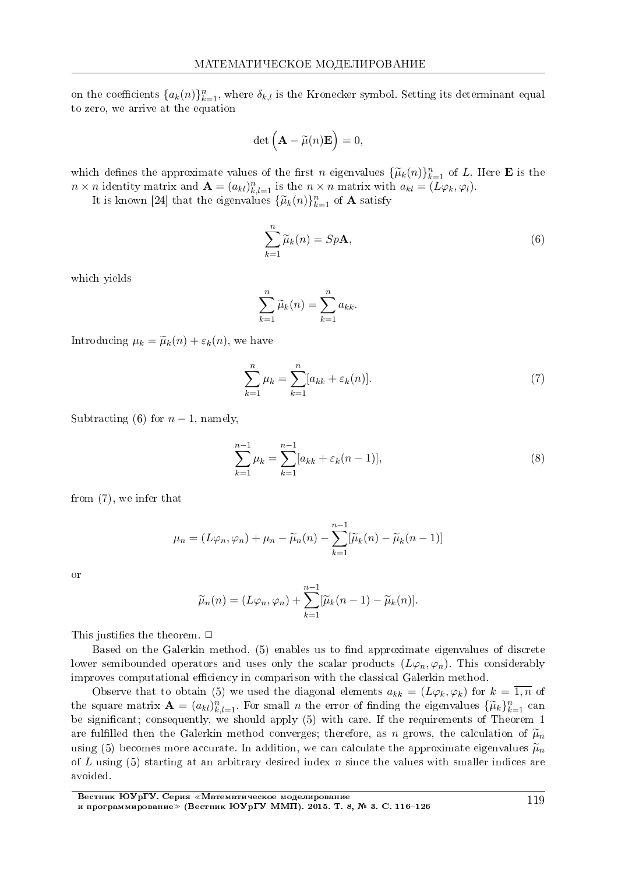on the coefficients  $\{a_k(n)\}_{k=1}^n$ , where  $\delta_{k,l}$  is the Kronecker symbol. Setting its determinant equal to zero, we arrive at the equation

$$
\det\left(\mathbf{A}-\widetilde{\mu}(n)\mathbf{E}\right)=0,
$$

which defines the approximate values of the first *n* eigenvalues  $\{\widetilde{\mu}_k(n)\}_{k=1}^n$  of L. Here **E** is the  $n \times n$  identity matrix and  $\mathbf{A} = (a_{kl})_{k,l=1}^n$  is the  $n \times n$  matrix with  $a_{kl} = (L\varphi_k, \varphi_l)$ .

It is known [24] that the eigenvalues  $\{\widetilde{\mu}_k(n)\}_{k=1}^n$  of **A** satisfy

$$
\sum_{k=1}^{n} \widetilde{\mu}_k(n) = Sp\mathbf{A},\tag{6}
$$

which vields

$$
\sum_{k=1}^{n} \widetilde{\mu}_k(n) = \sum_{k=1}^{n} a_{kk}.
$$

Introducing  $\mu_k = \tilde{\mu}_k(n) + \varepsilon_k(n)$ , we have

$$
\sum_{k=1}^{n} \mu_k = \sum_{k=1}^{n} [a_{kk} + \varepsilon_k(n)].
$$
\n(7)

Subtracting (6) for  $n-1$ , namely,

$$
\sum_{k=1}^{n-1} \mu_k = \sum_{k=1}^{n-1} [a_{kk} + \varepsilon_k(n-1)],\tag{8}
$$

from  $(7)$ , we infer that

$$
\mu_n = (L\varphi_n, \varphi_n) + \mu_n - \widetilde{\mu}_n(n) - \sum_{k=1}^{n-1} [\widetilde{\mu}_k(n) - \widetilde{\mu}_k(n-1)]
$$

 $\overline{\rm O}$ 

$$
\widetilde{\mu}_n(n) = (L\varphi_n, \varphi_n) + \sum_{k=1}^{n-1} [\widetilde{\mu}_k(n-1) - \widetilde{\mu}_k(n)].
$$

This justifies the theorem.  $\Box$ 

Based on the Galerkin method, (5) enables us to find approximate eigenvalues of discrete lower semibounded operators and uses only the scalar products  $(L\varphi_n, \varphi_n)$ . This considerably improves computational efficiency in comparison with the classical Galerkin method

Observe that to obtain (5) we used the diagonal elements  $a_{kk} = (L\varphi_k, \varphi_k)$  for  $k = \overline{1,n}$  of the square matrix  $\mathbf{A} = (a_{kl})_{k,l=1}^n$ . For small *n* the error of finding the eigenvalues  $\{\widetilde{\mu}_k\}_{k=1}^n$  can be significant; consequently, we should apply (5) with care. If the requirements of Theorem 1 are fulfilled then the Galerkin method converges; therefore, as n grows, the calculation of  $\tilde{\mu}_n$ using (5) becomes more accurate. In addition, we can calculate the approximate eigenvalues  $\tilde{\mu}_n$ of L using (5) starting at an arbitrary desired index n since the values with smaller indices are avoided.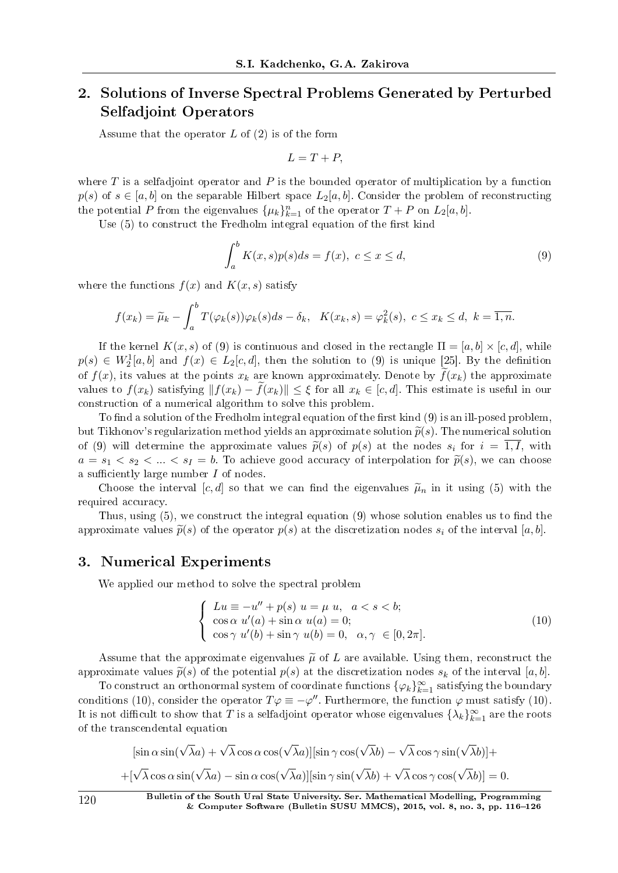# 2. Solutions of Inverse Spectral Problems Generated by Perturbed Selfadjoint Operators

Assume that the operator *L* of (2) is of the form

$$
L = T + P,
$$

where *T* is a selfadjoint operator and *P* is the bounded operator of multiplication by a function  $p(s)$  of  $s \in [a, b]$  on the separable Hilbert space  $L_2[a, b]$ . Consider the problem of reconstructing the potential *P* from the eigenvalues  $\{\mu_k\}_{k=1}^n$  of the operator  $T + P$  on  $L_2[a, b]$ .

Use  $(5)$  to construct the Fredholm integral equation of the first kind

$$
\int_{a}^{b} K(x,s)p(s)ds = f(x), \ c \le x \le d,
$$
\n(9)

where the functions  $f(x)$  and  $K(x, s)$  satisfy

$$
f(x_k) = \widetilde{\mu}_k - \int_a^b T(\varphi_k(s))\varphi_k(s)ds - \delta_k, \quad K(x_k, s) = \varphi_k^2(s), \quad c \le x_k \le d, \quad k = \overline{1, n}.
$$

If the kernel  $K(x, s)$  of (9) is continuous and closed in the rectangle  $\Pi = [a, b] \times [c, d]$ , while  $p(s) \in W_2^1[a, b]$  and  $f(x) \in L_2[c, d]$ , then the solution to (9) is unique [25]. By the definition of  $f(x)$ , its values at the points  $x_k$  are known approximately. Denote by  $f(x_k)$  the approximate values to  $f(x_k)$  satisfying  $||f(x_k) - f(x_k)|| \leq \xi$  for all  $x_k \in [c, d]$ . This estimate is useful in our construction of a numerical algorithm to solve this problem.

To find a solution of the Fredholm integral equation of the first kind  $(9)$  is an ill-posed problem but Tikhonov's regularization method yields an approximate solution  $\tilde{p}(s)$ . The numerical solution of (9) will determine the approximate values  $\tilde{p}(s)$  of  $p(s)$  at the nodes  $s_i$  for  $i = 1, I$ , with  $a = s_1 < s_2 < ... < s_I = b$ . To achieve good accuracy of interpolation for  $\tilde{p}(s)$ , we can choose a sufficiently large number *I* of nodes.

Choose the interval [*c, d*] so that we can find the eigenvalues  $\tilde{\mu}_n$  in it using (5) with the required accuracy.

Thus, using  $(5)$ , we construct the integral equation  $(9)$  whose solution enables us to find the approximate values  $\tilde{p}(s)$  of the operator  $p(s)$  at the discretization nodes  $s_i$  of the interval [a, b].

#### 3. Numerical Experiments

We applied our method to solve the spectral problem

$$
\begin{cases}\nLu \equiv -u'' + p(s) \ u = \mu \ u, \ a < s < b; \\
\cos \alpha \ u'(a) + \sin \alpha \ u(a) = 0; \\
\cos \gamma \ u'(b) + \sin \gamma \ u(b) = 0, \ \alpha, \gamma \in [0, 2\pi].\n\end{cases}
$$
\n(10)

Assume that the approximate eigenvalues  $\tilde{\mu}$  of L are available. Using them, reconstruct the approximate values  $\tilde{p}(s)$  of the potential  $p(s)$  at the discretization nodes  $s_k$  of the interval [a, b].

To construct an orthonormal system of coordinate functions  $\{\varphi_k\}_{k=1}^\infty$  satisfying the boundary conditions (10), consider the operator  $T\varphi \equiv -\varphi''$ . Furthermore, the function  $\varphi$  must satisfy (10). It is not difficult to show that  $T$  is a selfadjoint operator whose eigenvalues  $\{\lambda_k\}_{k=1}^\infty$  are the roots of the transcendental equation

$$
[\sin \alpha \sin(\sqrt{\lambda}a) + \sqrt{\lambda} \cos \alpha \cos(\sqrt{\lambda}a)][\sin \gamma \cos(\sqrt{\lambda}b) - \sqrt{\lambda} \cos \gamma \sin(\sqrt{\lambda}b)] +
$$

$$
+[\sqrt{\lambda} \cos \alpha \sin(\sqrt{\lambda}a) - \sin \alpha \cos(\sqrt{\lambda}a)][\sin \gamma \sin(\sqrt{\lambda}b) + \sqrt{\lambda} \cos \gamma \cos(\sqrt{\lambda}b)] = 0.
$$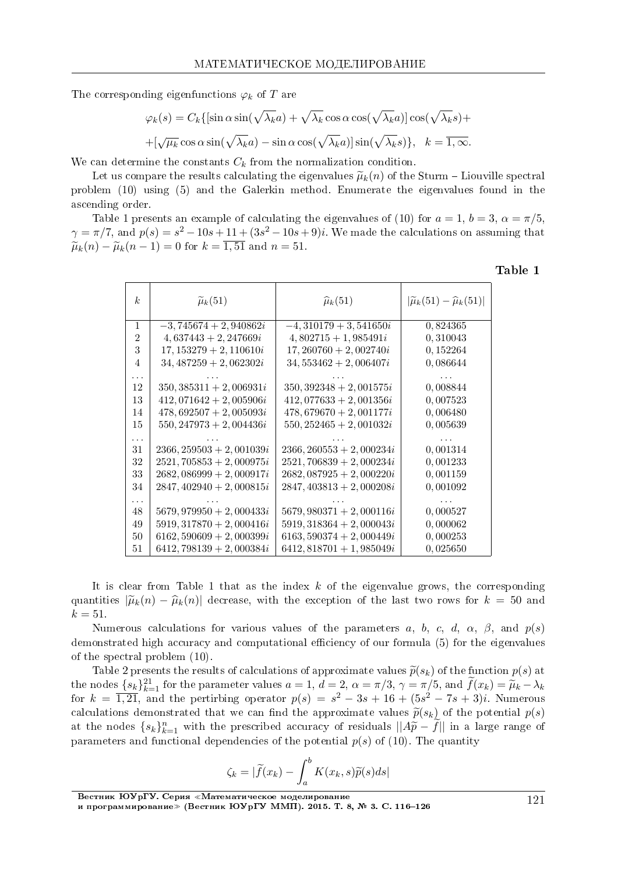The corresponding eigenfunctions  $\varphi_k$  of T are

$$
\varphi_k(s) = C_k \{ [\sin \alpha \sin(\sqrt{\lambda_k} a) + \sqrt{\lambda_k} \cos \alpha \cos(\sqrt{\lambda_k} a)] \cos(\sqrt{\lambda_k} s) +
$$
  
 
$$
+ [\sqrt{\mu_k} \cos \alpha \sin(\sqrt{\lambda_k} a) - \sin \alpha \cos(\sqrt{\lambda_k} a)] \sin(\sqrt{\lambda_k} s) \}, \quad k = \overline{1, \infty}.
$$

We can determine the constants  $C_k$  from the normalization condition.

Let us compare the results calculating the eigenvalues  $\tilde{\mu}_k(n)$  of the Sturm – Liouville spectral problem  $(10)$  using  $(5)$  and the Galerkin method. Enumerate the eigenvalues found in the ascending order.

Table 1 presents an example of calculating the eigenvalues of (10) for  $a = 1$ ,  $b = 3$ ,  $\alpha = \pi/5$ .  $\gamma = \pi/7$ , and  $p(s) = s^2 - 10s + 11 + (3s^2 - 10s + 9)i$ . We made the calculations on assuming that  $\tilde{\mu}_k(n) - \tilde{\mu}_k(n-1) = 0$  for  $k = \overline{1,51}$  and  $n = 51$ .

Table 1

| k <sub>i</sub> | $\widetilde{\mu}_k(51)$     | $\widehat{\mu}_k(51)$       | $ \widetilde{\mu}_k(51)-\widehat{\mu}_k(51) $ |
|----------------|-----------------------------|-----------------------------|-----------------------------------------------|
| 1              | $-3,745674+2,940862i$       | $-4,310179+3,541650i$       | 0,824365                                      |
| 2              | $4,637443+2,247669i$        | $4,802715+1,985491i$        | 0,310043                                      |
| 3              | $17, 153279 + 2, 110610i$   | $17,260760 + 2,002740i$     | 0,152264                                      |
| 4              | $34,487259+2,062302i$       | $34,553462+2,006407i$       | 0,086644                                      |
|                |                             |                             |                                               |
| 12             | $350,385311+2,006931i$      | $350, 392348 + 2, 001575i$  | 0,008844                                      |
| 13             | $412,071642+2,005906i$      | $412,077633+2,001356i$      | 0,007523                                      |
| 14             | $478,692507+2,005093i$      | $478,679670+2,001177i$      | 0,006480                                      |
| 15             | $550, 247973 + 2, 004436i$  | $550, 252465 + 2, 001032i$  | 0,005639                                      |
| .              |                             |                             |                                               |
| 31             | $2366, 259503 + 2, 001039i$ | $2366, 260553 + 2, 000234i$ | 0,001314                                      |
| 32             | $2521, 705853 + 2, 000975i$ | $2521,706839+2,000234i$     | 0,001233                                      |
| 33             | $2682,086999+2,000917i$     | $2682,087925+2,000220i$     | 0,001159                                      |
| 34             | $2847, 402940 + 2, 000815i$ | $2847, 403813 + 2, 000208i$ | 0,001092                                      |
| .              |                             |                             |                                               |
| 48             | $5679,979950 + 2,000433i$   | $5679,980371+2,000116i$     | 0,000527                                      |
| 49             | $5919, 317870 + 2,000416i$  | $5919, 318364 + 2,000043i$  | 0,000062                                      |
| 50             | $6162, 590609 + 2,000399i$  | $6163,590374+2,000449i$     | 0,000253                                      |
| 51             | $6412,798139+2,000384i$     | $6412,818701 + 1,985049i$   | 0,025650                                      |

It is clear from Table 1 that as the index  $k$  of the eigenvalue grows, the corresponding quantities  $|\tilde{\mu}_k(n) - \hat{\mu}_k(n)|$  decrease, with the exception of the last two rows for  $k = 50$  and  $k = 51$ .

Numerous calculations for various values of the parameters a, b, c, d,  $\alpha$ ,  $\beta$ , and  $p(s)$ demonstrated high accuracy and computational efficiency of our formula (5) for the eigenvalues of the spectral problem  $(10)$ .

Table 2 presents the results of calculations of approximate values  $\tilde{p}(s_k)$  of the function  $p(s)$  at the nodes  $\{s_k\}_{k=1}^{21}$  for the parameter values  $a=1, d=2, \alpha=\pi/3, \gamma=\pi/5$ , and  $f(x_k)=\widetilde{\mu}_k-\lambda_k$ for  $k = \overline{1,21}$ , and the pertirbing operator  $p(s) = s^2 - 3s + 16 + (5s^2 - 7s + 3)i$ . Numerous calculations demonstrated that we can find the approximate values  $\tilde{p}(s_k)$  of the potential  $p(s)$ at the nodes  $\{s_k\}_{k=1}^n$  with the prescribed accuracy of residuals  $||A\widetilde{p} - f||$  in a large range of parameters and functional dependencies of the potential  $p(s)$  of (10). The quantity

$$
\zeta_k = |\widetilde{f}(x_k) - \int_a^b K(x_k, s)\widetilde{p}(s)ds|
$$

Вестник ЮУрГУ. Серия «Математическое моделирование и программирование» (Вестник ЮУрГУ ММП). 2015. Т. 8, № 3. С. 116-126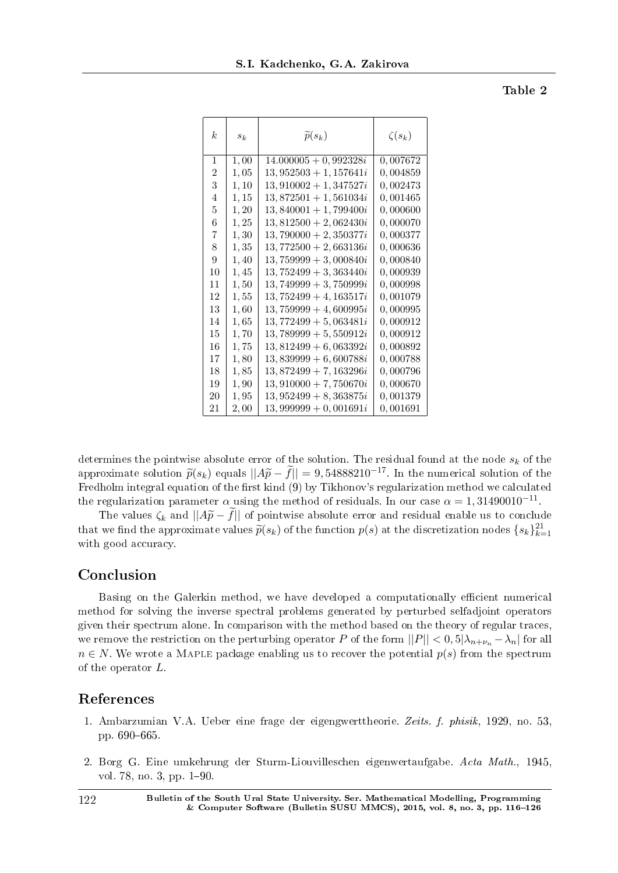Table 2

| $\,k$          | $s_k$ | $\widetilde{p}(s_k)$    | $\zeta(s_k)$ |
|----------------|-------|-------------------------|--------------|
| 1              | 1,00  | $14.000005 + 0,992328i$ | 0,007672     |
| $\overline{2}$ | 1,05  | $13,952503 + 1,157641i$ | 0,004859     |
| 3              | 1, 10 | $13,910002 + 1,347527i$ | 0,002473     |
| 4              | 1,15  | $13,872501+1,561034i$   | 0,001465     |
| 5              | 1,20  | $13,840001 + 1,799400i$ | 0,000600     |
| 6              | 1,25  | $13,812500 + 2,062430i$ | 0,000070     |
| 7              | 1,30  | $13,790000 + 2,350377i$ | 0,000377     |
| 8              | 1,35  | $13,772500 + 2,663136i$ | 0,000636     |
| 9              | 1,40  | $13,759999+3,000840i$   | 0,000840     |
| 10             | 1,45  | $13,752499+3,363440i$   | 0,000939     |
| 11             | 1,50  | $13,749999+3,750999i$   | 0,000998     |
| 12             | 1,55  | $13,752499+4,163517i$   | 0,001079     |
| 13             | 1,60  | $13,759999+4,600995i$   | 0,000995     |
| 14             | 1,65  | $13,772499+5,063481i$   | 0,000912     |
| 15             | 1,70  | $13,789999+5,550912i$   | 0,000912     |
| 16             | 1,75  | $13,812499+6,063392i$   | 0,000892     |
| 17             | 1,80  | $13,839999+6,600788i$   | 0,000788     |
| 18             | 1,85  | $13,872499+7,163296i$   | 0,000796     |
| 19             | 1,90  | $13,910000 + 7,750670i$ | 0,000670     |
| 20             | 1,95  | $13,952499+8,363875i$   | 0,001379     |
| 21             | 2,00  | $13,999999 + 0,001691i$ | 0,001691     |

determines the pointwise absolute error of the solution. The residual found at the node *s<sup>k</sup>* of the approximate solution  $\tilde{p}(s_k)$  equals  $||A\tilde{p} - \tilde{f}|| = 9,54888210^{-17}$ . In the numerical solution of the Fredholm integral equation of the first kind (9) by Tikhonov's regularization method we calculated the regularization parameter  $\alpha$  using the method of residuals. In our case  $\alpha = 1,31490010^{-11}$ .

The values  $\zeta_k$  and  $||A\widetilde{p}-f||$  of pointwise absolute error and residual enable us to conclude that we find the approximate values  $\tilde{p}(s_k)$  of the function  $p(s)$  at the discretization nodes  $\{s_k\}_{k=1}^{21}$ with good accuracy.

### Conclusion

Basing on the Galerkin method, we have developed a computationally efficient numerical method for solving the inverse spectral problems generated by perturbed selfadjoint operators given their spectrum alone. In comparison with the method based on the theory of regular traces, we remove the restriction on the perturbing operator *P* of the form  $||P|| < 0, 5|\lambda_{n+\nu_n} - \lambda_n|$  for all  $n \in N$ . We wrote a MAPLE package enabling us to recover the potential  $p(s)$  from the spectrum of the operator *L*.

#### References

- 1. Ambarzumian V.A. Ueber eine frage der eigengwerttheorie. Zeits. f. phisik, 1929, no. 53, pp. 690-665.
- 2. Borg G. Eine umkehrung der Sturm-Liouvilleschen eigenwertaufgabe. Acta Math., 1945, vol. 78, no. 3, pp.  $1-90$ .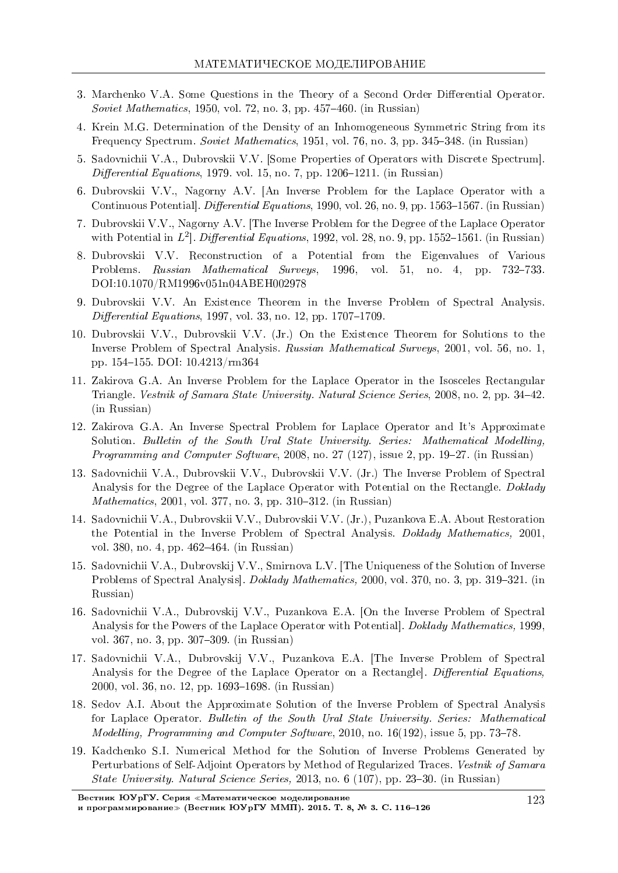- 3. Marchenko V.A. Some Questions in the Theory of a Second Order Differential Operator. Soviet Mathematics, 1950, vol. 72, no. 3, pp. 457-460. (in Russian)
- 4. Krein M.G. Determination of the Density of an Inhomogeneous Symmetric String from its Frequency Spectrum. Soviet Mathematics, 1951, vol. 76, no. 3, pp. 345-348. (in Russian)
- 5. Sadovnichii V.A., Dubrovskii V.V. [Some Properties of Operators with Discrete Spectrum]. Differential Equations, 1979. vol. 15, no. 7, pp. 1206-1211. (in Russian)
- 6. Dubrovskii V.V., Nagorny A.V. [An Inverse Problem for the Laplace Operator with a Continuous Potential, *Differential Equations*, 1990, vol. 26, no. 9, pp. 1563–1567. (in Russian)
- 7. Dubrovskii V.V., Nagorny A.V. The Inverse Problem for the Degree of the Laplace Operator with Potential in  $L^2$ . Differential Equations, 1992, vol. 28, no. 9, pp. 1552–1561. (in Russian)
- 8. Dubrovskii V.V. Reconstruction of a Potential from the Eigenvalues of Various Problems. Russian Mathematical Surveys,  $1996, \text{vol. } 51, \text{no. } 4,$ 732-733. pp. DOI:10.1070/RM1996v051n04ABEH002978
- 9. Dubrovskii V.V. An Existence Theorem in the Inverse Problem of Spectral Analysis. *Differential Equations*, 1997, vol. 33, no. 12, pp.  $1707-1709$ .
- 10. Dubrovskii V.V., Dubrovskii V.V. (Jr.) On the Existence Theorem for Solutions to the Inverse Problem of Spectral Analysis. Russian Mathematical Surveys, 2001, vol. 56, no. 1, pp. 154-155. DOI: 10.4213/rm364
- 11. Zakirova G.A. An Inverse Problem for the Laplace Operator in the Isosceles Rectangular Triangle. Vestnik of Samara State University. Natural Science Series, 2008, no. 2, pp. 34–42.  $(in Russian)$
- 12. Zakirova G.A. An Inverse Spectral Problem for Laplace Operator and It's Approximate Solution. Bulletin of the South Ural State University. Series: Mathematical Modelling. *Programming and Computer Software*, 2008, no. 27 (127), issue 2, pp. 19-27. (in Russian)
- 13. Sadovnichii V.A., Dubrovskii V.V., Dubrovskii V.V. (Jr.) The Inverse Problem of Spectral Analysis for the Degree of the Laplace Operator with Potential on the Rectangle. Doklady *Mathematics*, 2001, vol. 377, no. 3, pp. 310–312. (in Russian)
- 14. Sadovnichii V.A., Dubrovskii V.V., Dubrovskii V.V. (Jr.), Puzankova E.A. About Restoration the Potential in the Inverse Problem of Spectral Analysis. *Doklady Mathematics*, 2001, vol. 380, no. 4, pp. 462–464. (in Russian)
- 15. Sadovnichii V.A., Dubrovskij V.V., Smirnova L.V. [The Uniqueness of the Solution of Inverse Problems of Spectral Analysis. *Doklady Mathematics*, 2000, vol. 370, no. 3, pp. 319–321. (in Russian)
- 16. Sadovnichii V.A., Dubrovskij V.V., Puzankova E.A. [On the Inverse Problem of Spectral Analysis for the Powers of the Laplace Operator with Potential]. Doklady Mathematics, 1999, vol. 367, no. 3, pp. 307-309. (in Russian)
- 17. Sadovnichii V.A., Dubrovskij V.V., Puzankova E.A. [The Inverse Problem of Spectral Analysis for the Degree of the Laplace Operator on a Rectangle]. Differential Equations, 2000, vol. 36, no. 12, pp. 1693-1698. (in Russian)
- 18. Sedov A.I. About the Approximate Solution of the Inverse Problem of Spectral Analysis for Laplace Operator. Bulletin of the South Ural State University. Series: Mathematical *Modelling, Programming and Computer Software, 2010, no. 16(192), issue 5, pp. 73–78.*
- 19. Kadchenko S.I. Numerical Method for the Solution of Inverse Problems Generated by Perturbations of Self-Adjoint Operators by Method of Regularized Traces. Vestnik of Samara *State University. Natural Science Series,* 2013, no. 6 (107), pp. 23–30. (in Russian)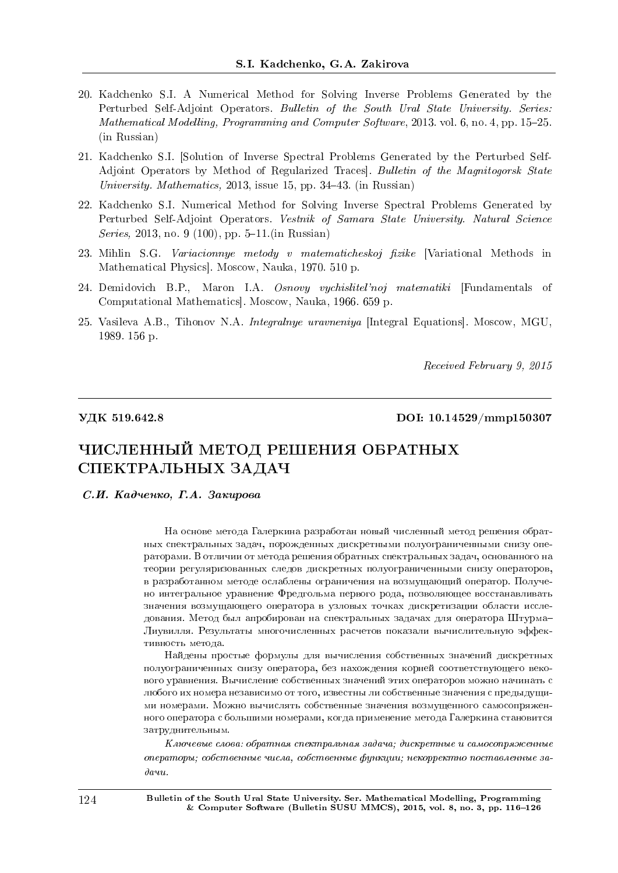- 20. Kadchenko S.I. A Numerical Method for Solving Inverse Problems Generated by the Perturbed Self-Adjoint Operators. Bulletin of the South Ural State University. Series: Mathematical Modelling, Programming and Computer Software, 2013. vol.  $6$ , no.  $4$ , pp. 15–25. (in Russian)
- 21. Kadchenko S.I. [Solution of Inverse Spectral Problems Generated by the Perturbed Self-Adjoint Operators by Method of Regularized Traces]. Bulletin of the Magnitogorsk State University. Mathematics, 2013, issue 15, pp. 34–43. (in Russian)
- 22. Kadchenko S.I. Numerical Method for Solving Inverse Spectral Problems Generated by Perturbed Self-Adjoint Operators. Vestnik of Samara State University. Natural Science Series, 2013, no. 9 (100), pp. 5–11.(in Russian)
- 23. Mihlin S.G. Variacionnye metody v matematicheskoj fizike [Variational Methods in Mathematical Physics]. Moscow, Nauka, 1970. 510 p.
- 24. Demidovich B.P., Maron I.A. Osnovy vychislitel'noj matematiki [Fundamentals of Computational Mathematics]. Moscow, Nauka, 1966. 659 p.
- 25. Vasileva A.B., Tihonov N.A. *Integralnye uravneniya* [Integral Equations]. Moscow, MGU, 1989. 156 p.

Received February 9, 2015

УДК 519.642.8  $\,$  DOI: 10.14529/mmp150307

# ЧИСЛЕННЫЙ МЕТОД РЕШЕНИЯ ОБРАТНЫХ СПЕКТРАЛЬНЫХ ЗАДАЧ

С.И. Кадченко. Г.А. Закирова

На основе метода Галеркина разработан новый численный метод решения обратных спектральных задач, порожденных дискретными полуограниченными снизу операторами. В отличии от метода решения обратных спектральных задач, основанного на теории регуляризованных следов дискретных полуограниченными снизу операторов, в разработанном методе ослаблены ограничения на возмущающий оператор. Получено интегральное уравнение Фредгольма первого рода, позволяющее восстанавливать значения возмущающего оператора в узловых точках дискретизации области исследования. Метод был апробирован на спектральных задачах для оператора Штурма– Лиувилля. Результаты многочисленных расчетов показали вычислительную эффективность метода.

Найдены простые формулы для вычисления собственных значений дискретных полуограниченных снизу оператора, без нахождения корней соответствующего векового уравнения. Вычисление собственных значений этих операторов можно начинать с любого их номера независимо от того, известны ли собственные значения с предыдущими номерами. Можно вычислять собственные значения возмущенного самосопряженного оператора с большими номерами, когда применение метода Галеркина становится затруднительным.

 $K$ лючевые слова: обратная спектральная задача; дискретные и самосопряженные  $onepamp$ и; собственные числа, собственные функции; некорректно поставленные за- $\partial$ avu.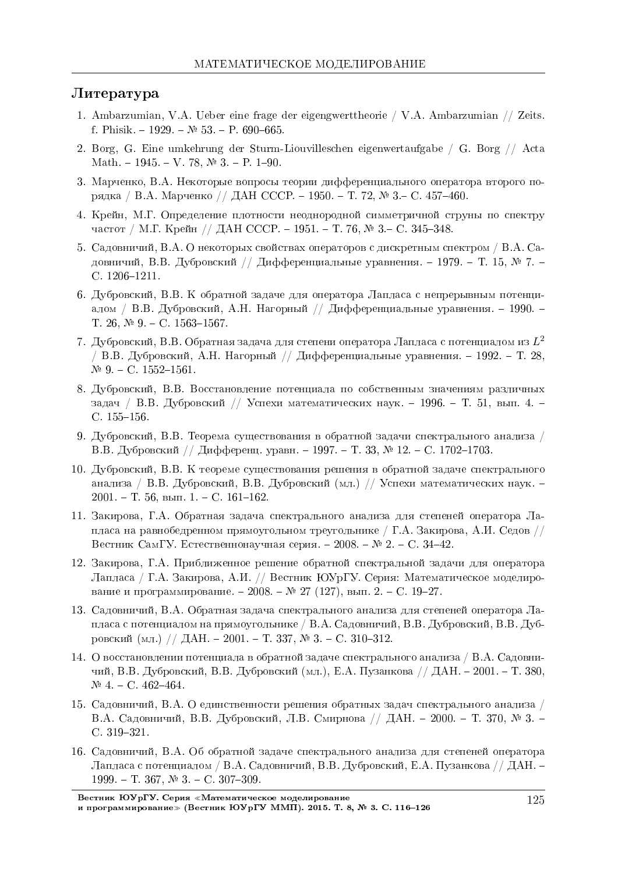#### $J$ <sub>*M*Teparypa</sub>

- 1. Ambarzumian, V.A. Ueber eine frage der eigengwerttheorie / V.A. Ambarzumian // Zeits. f. Phisik. - 1929. -  $\mathbb{N}^2$  53. - P. 690-665.
- 2. Borg, G. Eine umkehrung der Sturm-Liouvilleschen eigenwertaufgabe / G. Borg // Acta Math. - 1945. - V. 78,  $\mathbb{N} \, 3$ . - P. 1-90.
- 3. Марченко, В.А. Некоторые вопросы теории дифференциального оператора второго порядка / В.А. Марченко // ДАН СССР. − 1950. – Т. 72, № 3. – С. 457–460.
- 4. Крейн, М.Г. Определение плотности неоднородной симметричной струны по спектру частот / М.Г. Крейн // ДАН СССР. − 1951. – Т. 76, № 3. – С. 345–348.
- 5. Садовничий, В.А. О некоторых свойствах операторов с дискретным спектром / В.А. Садовничий, В.В. Дубровский // Дифференциальные уравнения. - 1979. - Т. 15, № 7. -C.  $1206 - 1211$ .
- 6. Дубровский, В.В. К обратной задаче для оператора Лапласа с непрерывным потенциалом / В.В. Дубровский, А.Н. Нагорный // Дифференциальные уравнения. - 1990. -T. 26,  $\mathbb{N}$  9. − C. 1563-1567.
- 7. Дубровский, В.В. Обратная задача для степени оператора Лапласа с потенциалом из  $L^2$ / В.В. Дубровский, А.Н. Нагорный // Дифференциальные уравнения. - 1992. - Т. 28,  $N<sup>0</sup>$  9. - C. 1552-1561.
- 8. Дубровский, В.В. Восстановление потенциала по собственным значениям различных задач / В.В. Дубровский // Успехи математических наук. - 1996. - Т. 51, вып. 4. -C. 155-156.
- 9. Дубровский, В.В. Теорема существования в обратной задачи спектрального анализа / В.В. Дубровский // Дифференц. уравн. – 1997. – Т. 33, № 12. – С. 1702–1703.
- 10. Дубровский, В.В. К теореме существования решения в обратной задаче спектрального анализа / В.В. Дубровский, В.В. Дубровский (мл.) // Успехи математических наук. - $2001. - T. 56$ , вып.  $1. - C. 161-162$ .
- 11. Закирова, Г.А. Обратная задача спектрального анализа для степеней оператора Лапласа на равнобедренном прямоугольном треугольнике / Г.А. Закирова, А.И. Седов // Вестник СамГУ. Естественнонаучная серия. - 2008. – № 2. - С. 34-42.
- 12. Закирова, Г.А. Приближенное решение обратной спектральной задачи для оператора Лапласа / Г.А. Закирова, А.И. // Вестник ЮУрГУ. Серия: Математическое моделирование и программирование. - 2008. – № 27 (127), вып. 2. - С. 19-27.
- 13. Садовничий, В.А. Обратная задача спектрального анализа для степеней оператора Лапласа с потенциалом на прямоугольнике / В.А. Садовничий, В.В. Дубровский, В.В. Дубровский (мл.) // ДАН. − 2001. – Т. 337, № 3. – С. 310-312.
- 14. О восстановлении потенциала в обратной задаче спектрального анализа / В.А. Садовничий, В.В. Дубровский, В.В. Дубровский (мл.), Е.А. Пузанкова // ДАН. – 2001. – Т. 380,  $N<sup>0</sup>$  4. - C. 462-464.
- 15. Садовничий, В.А. О единственности решения обратных задач спектрального анализа / В.А. Садовничий, В.В. Дубровский, Л.В. Смирнова // ДАН. - 2000. - Т. 370, № 3. -C. 319-321.
- 16. Садовничий, В.А. Об обратной задаче спектрального анализа для степеней оператора Лапласа с потенциалом / В.А. Садовничий, В.В. Дубровский, Е.А. Пузанкова // ДАН. –  $1999. - T. 367, \mathbb{N}^2 3. - C. 307 - 309.$